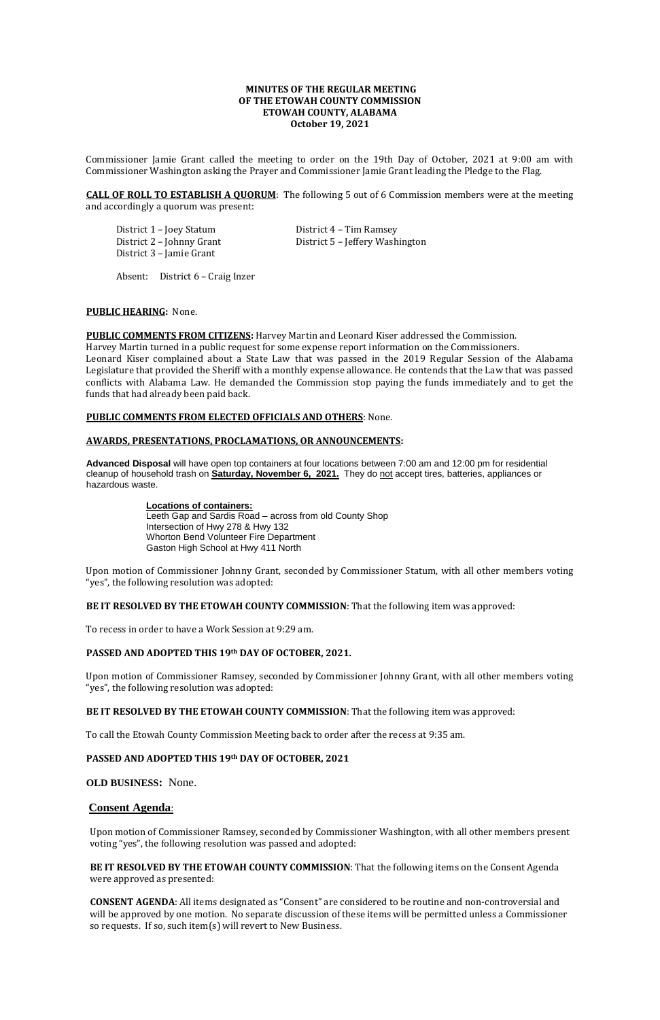## **MINUTES OF THE REGULAR MEETING OF THE ETOWAH COUNTY COMMISSION ETOWAH COUNTY, ALABAMA October 19, 2021**

Commissioner Jamie Grant called the meeting to order on the 19th Day of October, 2021 at 9:00 am with Commissioner Washington asking the Prayer and Commissioner Jamie Grant leading the Pledge to the Flag.

**CALL OF ROLL TO ESTABLISH A QUORUM**: The following 5 out of 6 Commission members were at the meeting and accordingly a quorum was present:

District 1 – Joey Statum District 4 – Tim Ramsey District 3 – Jamie Grant

District 2 – Johnny Grant District 5 – Jeffery Washington

Absent: District 6 – Craig Inzer

## **PUBLIC HEARING:** None.

**PUBLIC COMMENTS FROM CITIZENS:** Harvey Martin and Leonard Kiser addressed the Commission.

Harvey Martin turned in a public request for some expense report information on the Commissioners. Leonard Kiser complained about a State Law that was passed in the 2019 Regular Session of the Alabama Legislature that provided the Sheriff with a monthly expense allowance. He contends that the Law that was passed conflicts with Alabama Law. He demanded the Commission stop paying the funds immediately and to get the funds that had already been paid back.

## **PUBLIC COMMENTS FROM ELECTED OFFICIALS AND OTHERS**: None.

## **AWARDS, PRESENTATIONS, PROCLAMATIONS, OR ANNOUNCEMENTS:**

**Advanced Disposal** will have open top containers at four locations between 7:00 am and 12:00 pm for residential cleanup of household trash on **Saturday, November 6, 2021.** They do not accept tires, batteries, appliances or hazardous waste.

> **Locations of containers:**  Leeth Gap and Sardis Road – across from old County Shop Intersection of Hwy 278 & Hwy 132 Whorton Bend Volunteer Fire Department Gaston High School at Hwy 411 North

Upon motion of Commissioner Johnny Grant, seconded by Commissioner Statum, with all other members voting "yes", the following resolution was adopted:

**BE IT RESOLVED BY THE ETOWAH COUNTY COMMISSION**: That the following item was approved:

To recess in order to have a Work Session at 9:29 am.

## **PASSED AND ADOPTED THIS 19th DAY OF OCTOBER, 2021.**

Upon motion of Commissioner Ramsey, seconded by Commissioner Johnny Grant, with all other members voting "yes", the following resolution was adopted:

## **BE IT RESOLVED BY THE ETOWAH COUNTY COMMISSION**: That the following item was approved:

To call the Etowah County Commission Meeting back to order after the recess at 9:35 am.

## **PASSED AND ADOPTED THIS 19th DAY OF OCTOBER, 2021**

**OLD BUSINESS:** None.

# **Consent Agenda**:

Upon motion of Commissioner Ramsey, seconded by Commissioner Washington, with all other members present voting "yes", the following resolution was passed and adopted:

**BE IT RESOLVED BY THE ETOWAH COUNTY COMMISSION**: That the following items on the Consent Agenda were approved as presented:

**CONSENT AGENDA**: All items designated as "Consent" are considered to be routine and non-controversial and will be approved by one motion. No separate discussion of these items will be permitted unless a Commissioner so requests. If so, such item(s) will revert to New Business.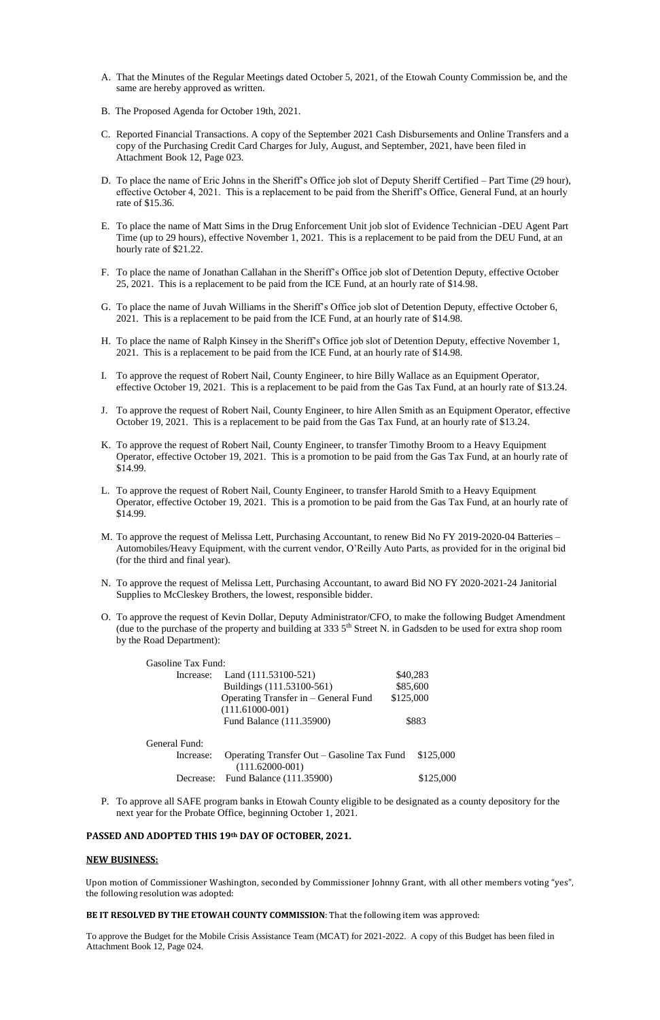- A. That the Minutes of the Regular Meetings dated October 5, 2021, of the Etowah County Commission be, and the same are hereby approved as written.
- B. The Proposed Agenda for October 19th, 2021.
- C. Reported Financial Transactions. A copy of the September 2021 Cash Disbursements and Online Transfers and a copy of the Purchasing Credit Card Charges for July, August, and September, 2021, have been filed in Attachment Book 12, Page 023.
- D. To place the name of Eric Johns in the Sheriff's Office job slot of Deputy Sheriff Certified Part Time (29 hour), effective October 4, 2021. This is a replacement to be paid from the Sheriff's Office, General Fund, at an hourly rate of \$15.36.
- E. To place the name of Matt Sims in the Drug Enforcement Unit job slot of Evidence Technician -DEU Agent Part Time (up to 29 hours), effective November 1, 2021. This is a replacement to be paid from the DEU Fund, at an hourly rate of \$21.22.
- F. To place the name of Jonathan Callahan in the Sheriff's Office job slot of Detention Deputy, effective October 25, 2021. This is a replacement to be paid from the ICE Fund, at an hourly rate of \$14.98.
- G. To place the name of Juvah Williams in the Sheriff's Office job slot of Detention Deputy, effective October 6, 2021. This is a replacement to be paid from the ICE Fund, at an hourly rate of \$14.98.
- H. To place the name of Ralph Kinsey in the Sheriff's Office job slot of Detention Deputy, effective November 1, 2021. This is a replacement to be paid from the ICE Fund, at an hourly rate of \$14.98.
- I. To approve the request of Robert Nail, County Engineer, to hire Billy Wallace as an Equipment Operator, effective October 19, 2021. This is a replacement to be paid from the Gas Tax Fund, at an hourly rate of \$13.24.
- J. To approve the request of Robert Nail, County Engineer, to hire Allen Smith as an Equipment Operator, effective October 19, 2021. This is a replacement to be paid from the Gas Tax Fund, at an hourly rate of \$13.24.
- K. To approve the request of Robert Nail, County Engineer, to transfer Timothy Broom to a Heavy Equipment Operator, effective October 19, 2021. This is a promotion to be paid from the Gas Tax Fund, at an hourly rate of \$14.99.
- L. To approve the request of Robert Nail, County Engineer, to transfer Harold Smith to a Heavy Equipment Operator, effective October 19, 2021. This is a promotion to be paid from the Gas Tax Fund, at an hourly rate of \$14.99.
- M. To approve the request of Melissa Lett, Purchasing Accountant, to renew Bid No FY 2019-2020-04 Batteries Automobiles/Heavy Equipment, with the current vendor, O'Reilly Auto Parts, as provided for in the original bid (for the third and final year).
- N. To approve the request of Melissa Lett, Purchasing Accountant, to award Bid NO FY 2020-2021-24 Janitorial Supplies to McCleskey Brothers, the lowest, responsible bidder.
- O. To approve the request of Kevin Dollar, Deputy Administrator/CFO, to make the following Budget Amendment (due to the purchase of the property and building at 333  $5<sup>th</sup>$  Street N. in Gadsden to be used for extra shop room by the Road Department):

Increase: Operating Transfer Out – Gasoline Tax Fund \$125,000 (111.62000-001) Decrease: Fund Balance (111.35900) \$125,000

|                                      | \$40,283                                                    |
|--------------------------------------|-------------------------------------------------------------|
| Buildings (111.53100-561)            | \$85,600                                                    |
| Operating Transfer in – General Fund | \$125,000                                                   |
| $(111.61000-001)$                    |                                                             |
| Fund Balance (111.35900)             | \$883                                                       |
|                                      | <b>Gasoline Tax Fund:</b><br>Increase: Land (111.53100-521) |

General Fund:

P. To approve all SAFE program banks in Etowah County eligible to be designated as a county depository for the next year for the Probate Office, beginning October 1, 2021.

## **PASSED AND ADOPTED THIS 19th DAY OF OCTOBER, 2021.**

#### **NEW BUSINESS:**

Upon motion of Commissioner Washington, seconded by Commissioner Johnny Grant, with all other members voting "yes", the following resolution was adopted:

### **BE IT RESOLVED BY THE ETOWAH COUNTY COMMISSION**: That the following item was approved:

To approve the Budget for the Mobile Crisis Assistance Team (MCAT) for 2021-2022. A copy of this Budget has been filed in Attachment Book 12, Page 024.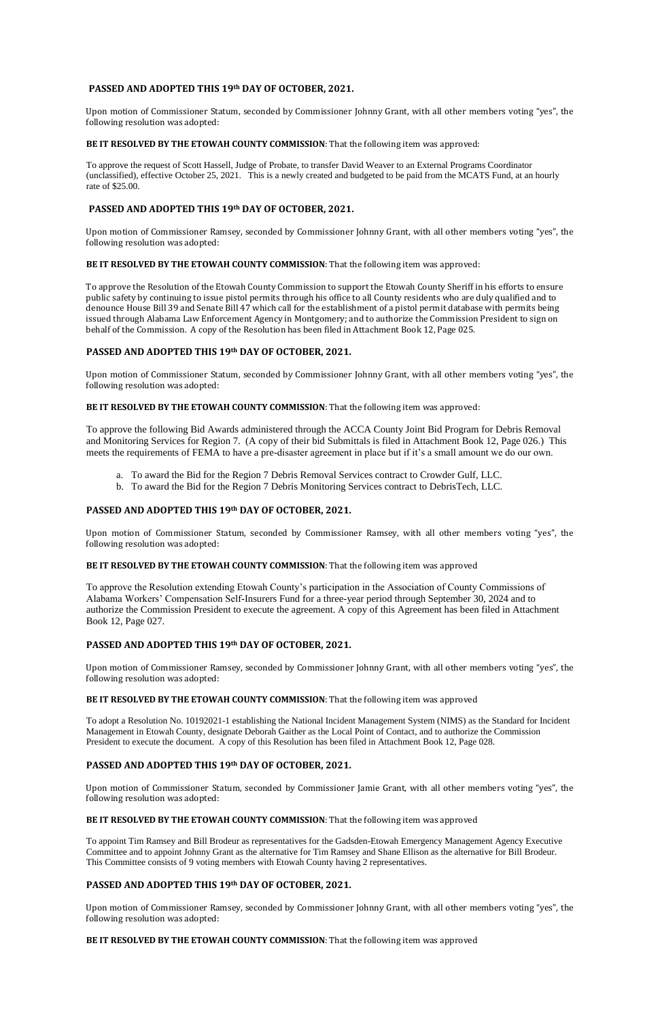## **PASSED AND ADOPTED THIS 19th DAY OF OCTOBER, 2021.**

Upon motion of Commissioner Statum, seconded by Commissioner Johnny Grant, with all other members voting "yes", the following resolution was adopted:

## **BE IT RESOLVED BY THE ETOWAH COUNTY COMMISSION**: That the following item was approved:

To approve the request of Scott Hassell, Judge of Probate, to transfer David Weaver to an External Programs Coordinator (unclassified), effective October 25, 2021. This is a newly created and budgeted to be paid from the MCATS Fund, at an hourly rate of \$25.00.

## **PASSED AND ADOPTED THIS 19th DAY OF OCTOBER, 2021.**

Upon motion of Commissioner Ramsey, seconded by Commissioner Johnny Grant, with all other members voting "yes", the following resolution was adopted:

## **BE IT RESOLVED BY THE ETOWAH COUNTY COMMISSION**: That the following item was approved:

To approve the Resolution of the Etowah County Commission to support the Etowah County Sheriff in his efforts to ensure public safety by continuing to issue pistol permits through his office to all County residents who are duly qualified and to denounce House Bill 39 and Senate Bill 47 which call for the establishment of a pistol permit database with permits being issued through Alabama Law Enforcement Agency in Montgomery; and to authorize the Commission President to sign on behalf of the Commission. A copy of the Resolution has been filed in Attachment Book 12, Page 025.

## **PASSED AND ADOPTED THIS 19th DAY OF OCTOBER, 2021.**

Upon motion of Commissioner Statum, seconded by Commissioner Johnny Grant, with all other members voting "yes", the following resolution was adopted:

## **BE IT RESOLVED BY THE ETOWAH COUNTY COMMISSION**: That the following item was approved:

To approve the following Bid Awards administered through the ACCA County Joint Bid Program for Debris Removal and Monitoring Services for Region 7. (A copy of their bid Submittals is filed in Attachment Book 12, Page 026.) This meets the requirements of FEMA to have a pre-disaster agreement in place but if it's a small amount we do our own.

- a. To award the Bid for the Region 7 Debris Removal Services contract to Crowder Gulf, LLC.
- b. To award the Bid for the Region 7 Debris Monitoring Services contract to DebrisTech, LLC.

## **PASSED AND ADOPTED THIS 19th DAY OF OCTOBER, 2021.**

Upon motion of Commissioner Statum, seconded by Commissioner Ramsey, with all other members voting "yes", the following resolution was adopted:

#### **BE IT RESOLVED BY THE ETOWAH COUNTY COMMISSION**: That the following item was approved

To approve the Resolution extending Etowah County's participation in the Association of County Commissions of Alabama Workers' Compensation Self-Insurers Fund for a three-year period through September 30, 2024 and to authorize the Commission President to execute the agreement. A copy of this Agreement has been filed in Attachment Book 12, Page 027.

## **PASSED AND ADOPTED THIS 19th DAY OF OCTOBER, 2021.**

Upon motion of Commissioner Ramsey, seconded by Commissioner Johnny Grant, with all other members voting "yes", the following resolution was adopted:

#### **BE IT RESOLVED BY THE ETOWAH COUNTY COMMISSION**: That the following item was approved

To adopt a Resolution No. 10192021-1 establishing the National Incident Management System (NIMS) as the Standard for Incident Management in Etowah County, designate Deborah Gaither as the Local Point of Contact, and to authorize the Commission President to execute the document. A copy of this Resolution has been filed in Attachment Book 12, Page 028.

## **PASSED AND ADOPTED THIS 19th DAY OF OCTOBER, 2021.**

Upon motion of Commissioner Statum, seconded by Commissioner Jamie Grant, with all other members voting "yes", the following resolution was adopted:

#### **BE IT RESOLVED BY THE ETOWAH COUNTY COMMISSION**: That the following item was approved

To appoint Tim Ramsey and Bill Brodeur as representatives for the Gadsden-Etowah Emergency Management Agency Executive Committee and to appoint Johnny Grant as the alternative for Tim Ramsey and Shane Ellison as the alternative for Bill Brodeur. This Committee consists of 9 voting members with Etowah County having 2 representatives.

## **PASSED AND ADOPTED THIS 19th DAY OF OCTOBER, 2021.**

Upon motion of Commissioner Ramsey, seconded by Commissioner Johnny Grant, with all other members voting "yes", the following resolution was adopted:

#### **BE IT RESOLVED BY THE ETOWAH COUNTY COMMISSION**: That the following item was approved